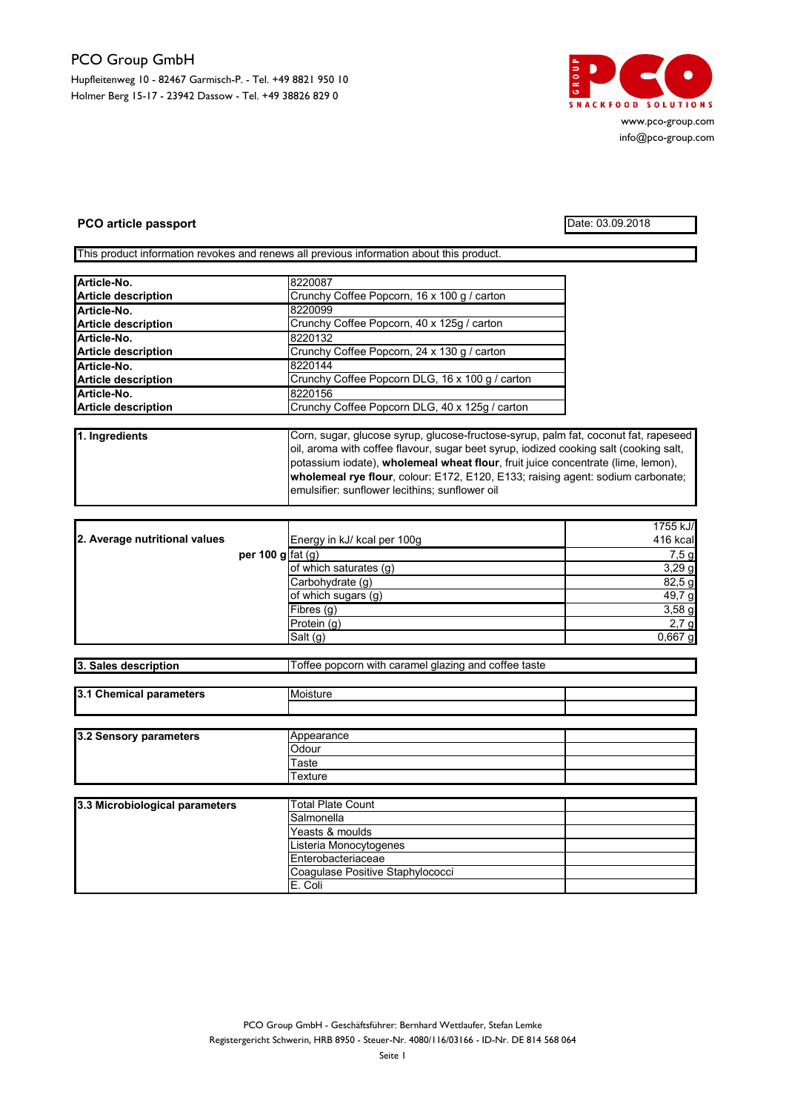## PCO Group GmbH

Hupfleitenweg 10 - 82467 Garmisch-P. - Tel. +49 8821 950 10 Holmer Berg 15-17 - 23942 Dassow - Tel. +49 38826 829 0



info@pco-group.com

## PCO article passport Date: 03.09.2018

This product information revokes and renews all previous information about this product.

| Crunchy Coffee Popcorn, 16 x 100 g / carton     |  |
|-------------------------------------------------|--|
| 8220099                                         |  |
| Crunchy Coffee Popcorn, 40 x 125g / carton      |  |
| 8220132                                         |  |
| Crunchy Coffee Popcorn, 24 x 130 g / carton     |  |
| 8220144                                         |  |
| Crunchy Coffee Popcorn DLG, 16 x 100 g / carton |  |
| 8220156                                         |  |
| Crunchy Coffee Popcorn DLG, 40 x 125g / carton  |  |
|                                                 |  |

1. Ingredients Corn, sugar, glucose syrup, glucose-fructose-syrup, palm fat, coconut fat, rapeseed oil, aroma with coffee flavour, sugar beet syrup, iodized cooking salt (cooking salt, potassium iodate), wholemeal wheat flour, fruit juice concentrate (lime, lemon), wholemeal rye flour, colour: E172, E120, E133; raising agent: sodium carbonate; emulsifier: sunflower lecithins; sunflower oil

| 2. Average nutritional values |                                         | Energy in kJ/ kcal per 100g | 1755 kJ/<br>416 kcal |
|-------------------------------|-----------------------------------------|-----------------------------|----------------------|
|                               | per 100 g $\lceil \text{fat}(g) \rceil$ |                             | 7,5g                 |
|                               |                                         | of which saturates (g)      | 3,29g                |
|                               |                                         | Carbohydrate (q)            | 82,5 g               |
|                               |                                         | of which sugars (g)         | 49,7 g               |
|                               |                                         | Fibres (g)                  | 3,58g                |
|                               |                                         | Protein(g)                  | 2,7g                 |
|                               |                                         | Salt (g)                    | 0,667 g              |

| 3. Sales description | Toffee popcorn with caramel glazing and coffee taste |
|----------------------|------------------------------------------------------|

| 3.1 Chemical parameters | Moisture   |  |
|-------------------------|------------|--|
|                         |            |  |
|                         |            |  |
| 3.2 Sensory parameters  | Appearance |  |
|                         | Odour      |  |
|                         | Taste      |  |
|                         | Texture    |  |

| 3.3 Microbiological parameters | <b>Total Plate Count</b>         |  |
|--------------------------------|----------------------------------|--|
|                                | Salmonella                       |  |
|                                | Yeasts & moulds                  |  |
|                                | Listeria Monocytogenes           |  |
|                                | Enterobacteriaceae               |  |
|                                | Coagulase Positive Staphylococci |  |
|                                | E. Coli                          |  |